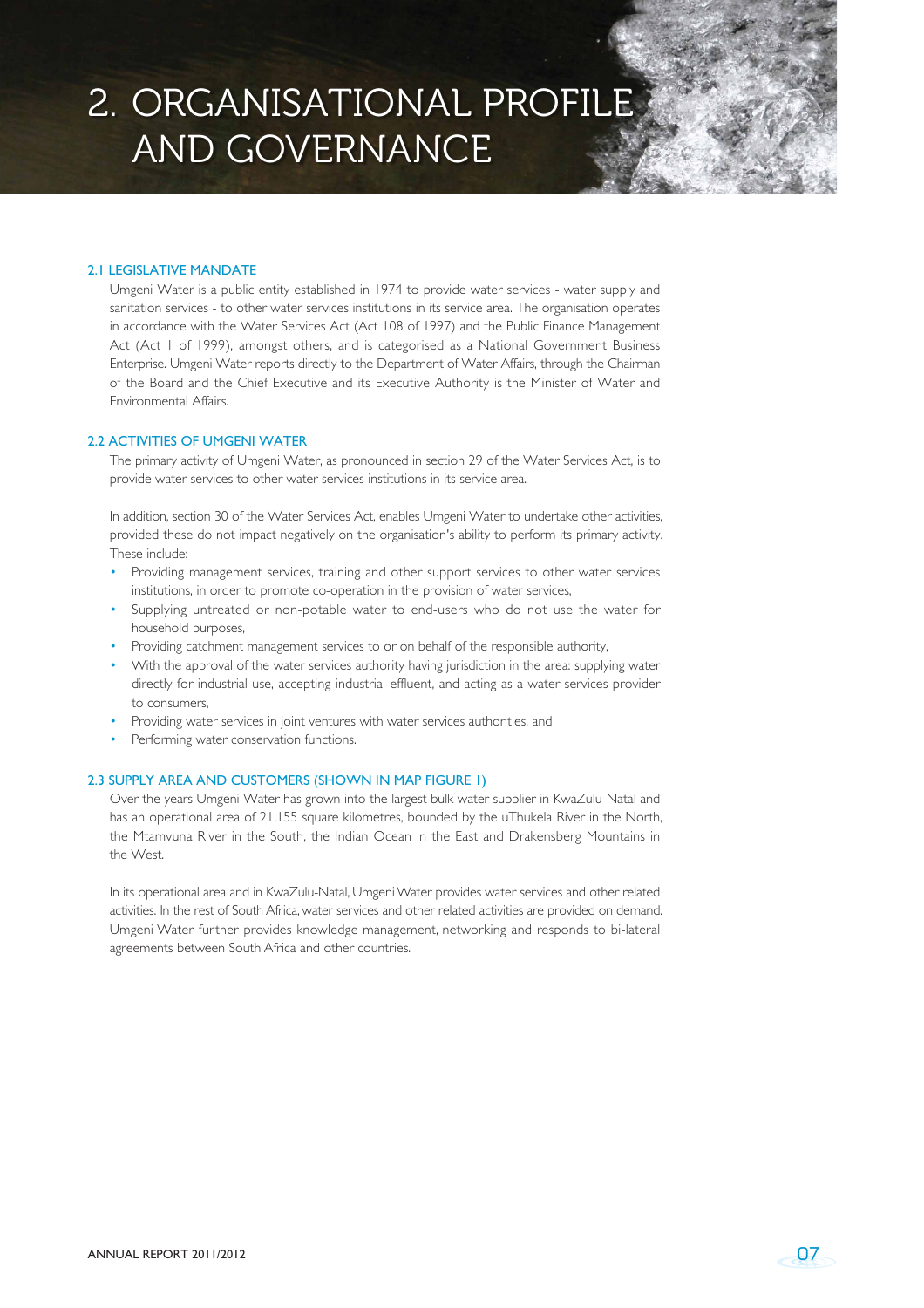# 2. ORGANISATIONAL PROFIL AND GOVERNANCE

### 2.1 LEGISLATIVE MANDATE

Umgeni Water is a public entity established in 1974 to provide water services - water supply and sanitation services - to other water services institutions in its service area. The organisation operates in accordance with the Water Services Act (Act 108 of 1997) and the Public Finance Management Act (Act 1 of 1999), amongst others, and is categorised as a National Government Business Enterprise. Umgeni Water reports directly to the Department of Water Affairs, through the Chairman of the Board and the Chief Executive and its Executive Authority is the Minister of Water and Environmental Affairs.

## 2.2 ACTIVITIES OF UMGENI WATER

The primary activity of Umgeni Water, as pronounced in section 29 of the Water Services Act, is to provide water services to other water services institutions in its service area.

In addition, section 30 of the Water Services Act, enables Umgeni Water to undertake other activities, provided these do not impact negatively on the organisation's ability to perform its primary activity. These include:

- Providing management services, training and other support services to other water services institutions, in order to promote co-operation in the provision of water services,
- Supplying untreated or non-potable water to end-users who do not use the water for household purposes,
- Providing catchment management services to or on behalf of the responsible authority,
- With the approval of the water services authority having jurisdiction in the area: supplying water directly for industrial use, accepting industrial effluent, and acting as a water services provider to consumers,
- Providing water services in joint ventures with water services authorities, and
- Performing water conservation functions.

#### 2.3 SUPPLY AREA AND CUSTOMERS (SHOWN IN MAP FIGURE 1)

Over the years Umgeni Water has grown into the largest bulk water supplier in KwaZulu-Natal and has an operational area of 21,155 square kilometres, bounded by the uThukela River in the North, the Mtamvuna River in the South, the Indian Ocean in the East and Drakensberg Mountains in the West.

In its operational area and in KwaZulu-Natal, Umgeni Water provides water services and other related activities. In the rest of South Africa, water services and other related activities are provided on demand. Umgeni Water further provides knowledge management, networking and responds to bi-lateral agreements between South Africa and other countries.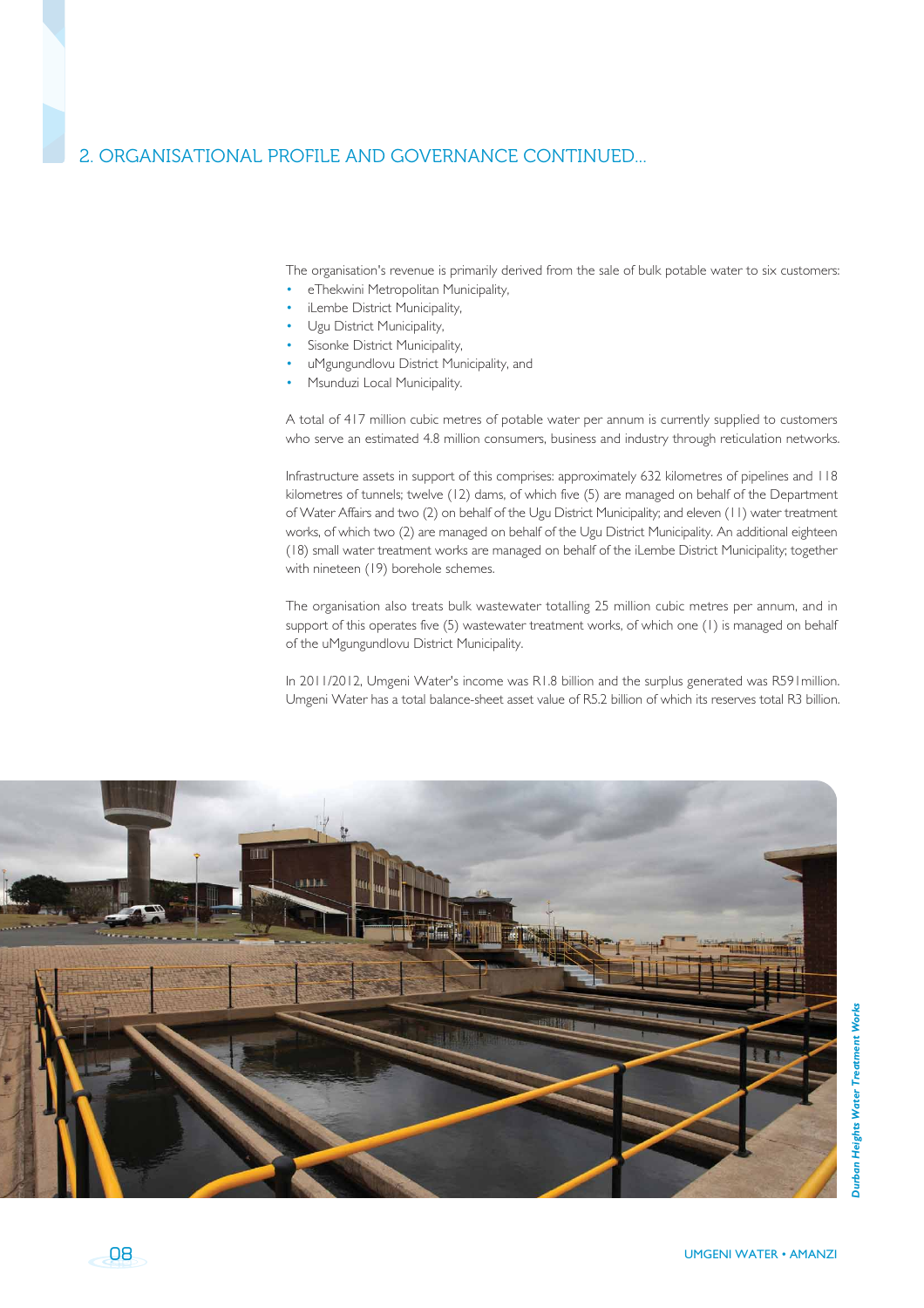# 2. ORGANISATIONAL PROFILE AND GOVERNANCE CONTINUED...

The organisation's revenue is primarily derived from the sale of bulk potable water to six customers:

- eThekwini Metropolitan Municipality.
- iLembe District Municipality,
- Ugu District Municipality,
- Sisonke District Municipality.
- uMgungundlovu District Municipality, and
- Msunduzi Local Municipality.

A total of 417 million cubic metres of potable water per annum is currently supplied to customers who serve an estimated 4.8 million consumers, business and industry through reticulation networks.

Infrastructure assets in support of this comprises: approximately 632 kilometres of pipelines and 118 kilometres of tunnels; twelve (12) dams, of which five (5) are managed on behalf of the Department of Water Affairs and two (2) on behalf of the Ugu District Municipality; and eleven (11) water treatment works, of which two (2) are managed on behalf of the Ugu District Municipality. An additional eighteen (18) small water treatment works are managed on behalf of the iLembe District Municipality; together with nineteen (19) borehole schemes.

The organisation also treats bulk wastewater totalling 25 million cubic metres per annum, and in support of this operates five (5) wastewater treatment works, of which one (1) is managed on behalf of the uMgungundlovu District Municipality.

In 2011/2012, Umgeni Water's income was R1.8 billion and the surplus generated was R591 million. Umgeni Water has a total balance-sheet asset value of R5.2 billion of which its reserves total R3 billion.



08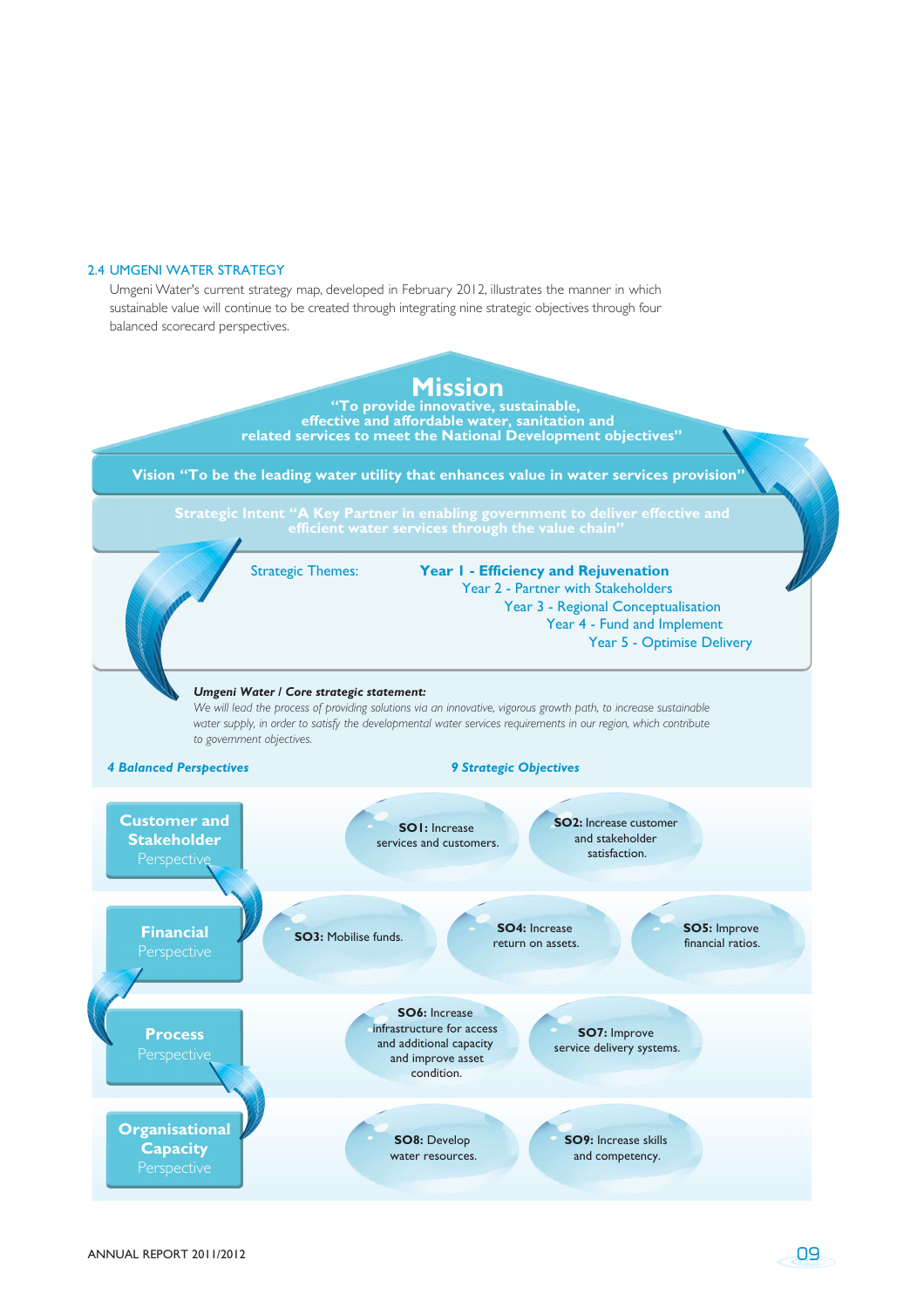#### 2.4 UMGENI WATER STRATEGY

Umgeni Water's current strategy map, developed in February 2012, illustrates the manner in which sustainable value will continue to be created through integrating nine strategic objectives through four balanced scorecard perspectives.

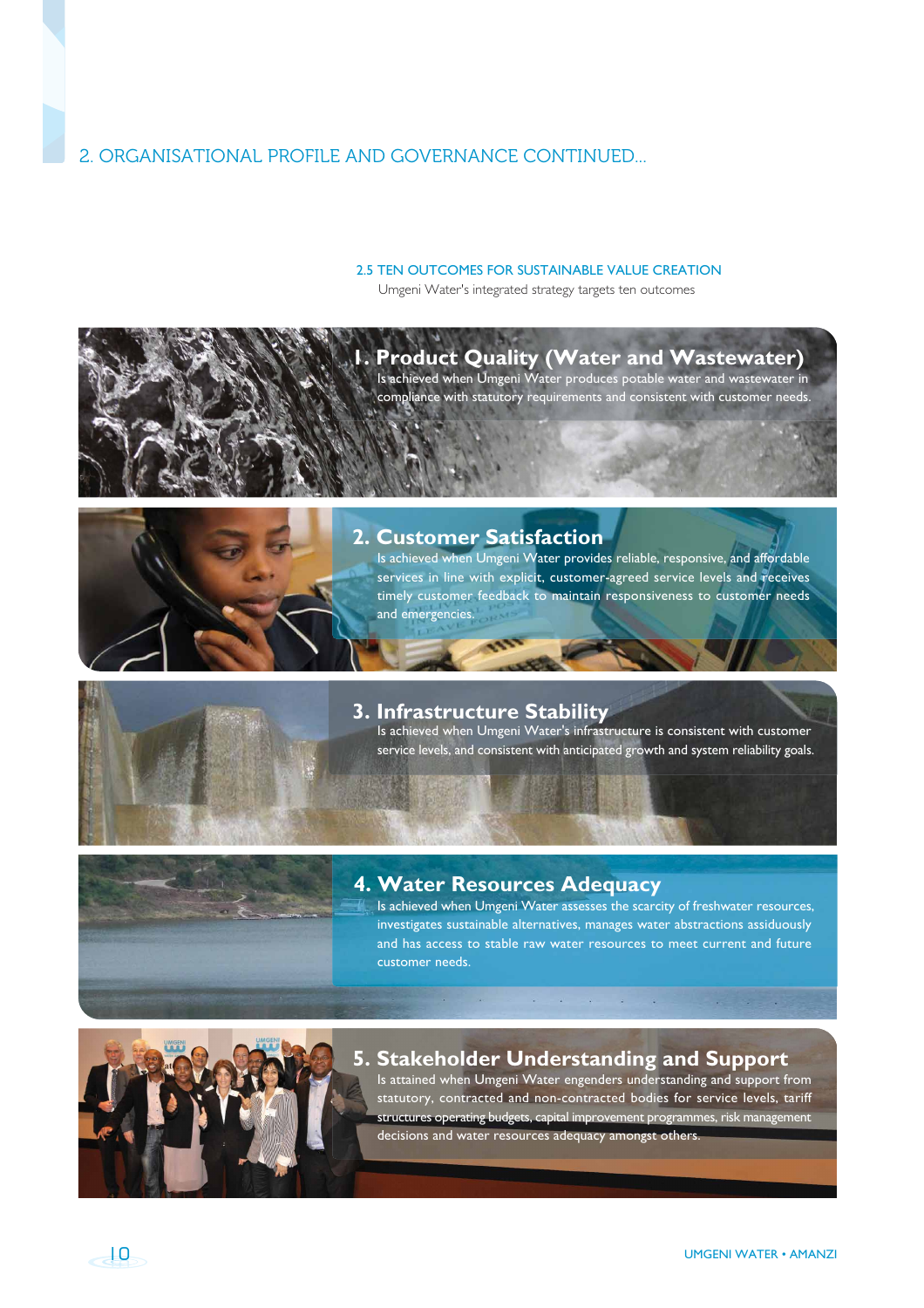# 2. ORGANISATIONAL PROFILE AND GOVERNANCE CONTINUED...

## 2.5 TEN OUTCOMES FOR SUSTAINABLE VALUE CREATION

Umgeni Water's integrated strategy targets ten outcomes



# **2. Customer Satisfaction**

Is achieved when Umgeni Water provides reliable, responsive, and affordable services in line with explicit, customer-agreed service levels and receives timely customer feedback to maintain responsiveness to customer needs and emergencies.



## **3. Infrastructure Stability**

Is achieved when Umgeni Water's infrastructure is consistent with customer service levels, and consistent with anticipated growth and system reliability goals.



# **4. Water Resources Adequacy**

Is achieved when Umgeni Water assesses the scarcity of freshwater resources, investigates sustainable alternatives, manages water abstractions assiduously and has access to stable raw water resources to meet current and future customer needs.



## **5. Stakeholder Understanding and Support**

**Report Follows** 

Is attained when Umgeni Water engenders understanding and support from statutory, contracted and non-contracted bodies for service levels, tariff structures operating budgets, capital improvement programmes, risk management decisions and water resources adequacy amongst others.

$$
\overline{\mathbf{A}}\mathbf{D}
$$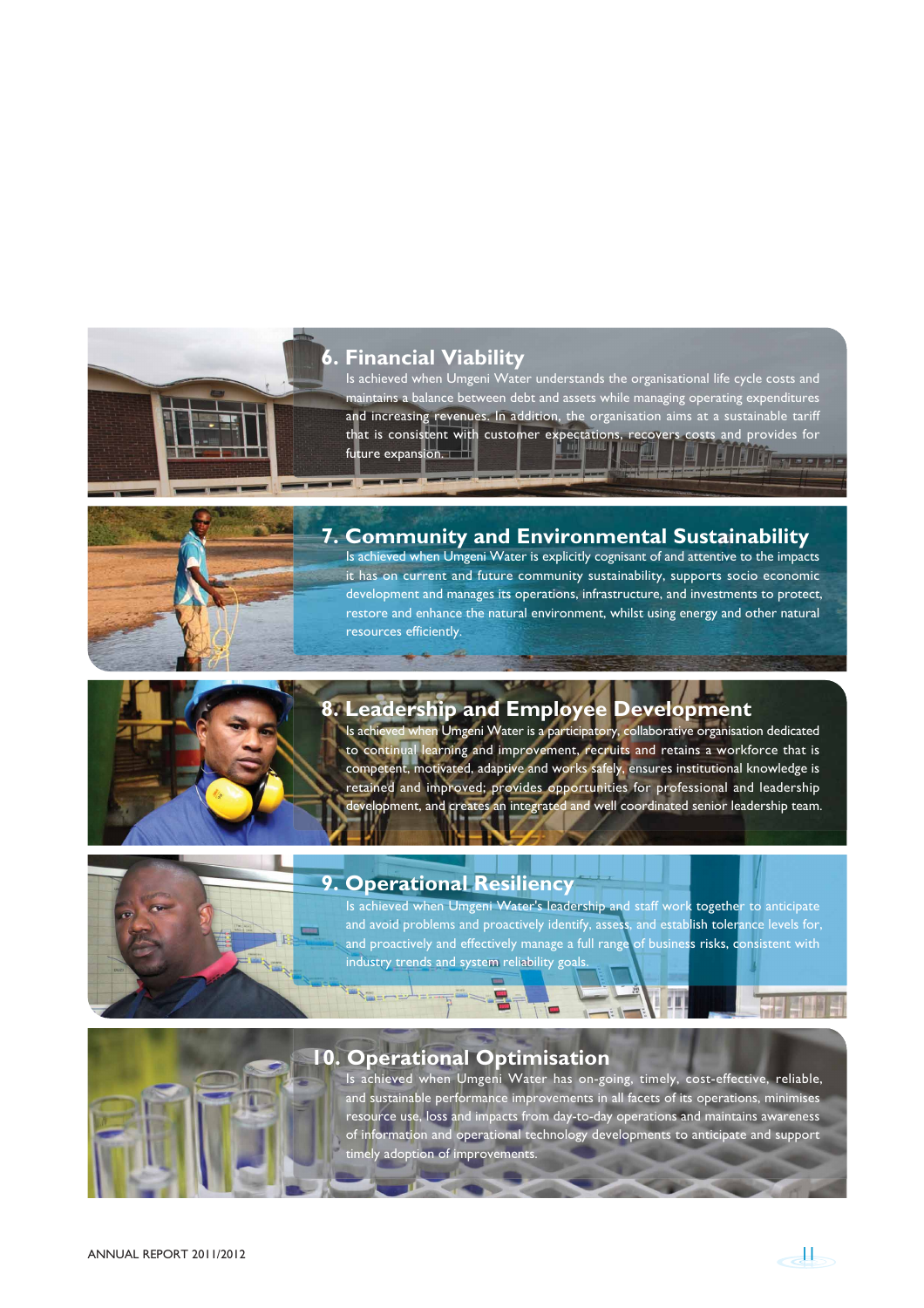## **6. Financial Viability**

Is achieved when Umgeni Water understands the organisational life cycle costs and maintains a balance between debt and assets while managing operating expenditures and increasing revenues. In addition, the organisation aims at a sustainable tariff that is consistent with customer expectations, recovers costs and provides for future expansion. LE LIFE STATISTICS.



# **7. Community and Environmental Sustainability**

Is achieved when Umgeni Water is explicitly cognisant of and attentive to the impacts it has on current and future community sustainability, supports socio economic development and manages its operations, infrastructure, and investments to protect, restore and enhance the natural environment, whilst using energy and other natural resources efficiently.



# **8. Leadership and Employee Development**

Is achieved when Umgeni Water is a participatory, collaborative organisation dedicated to continual learning and improvement, recruits and retains a workforce that is competent, motivated, adaptive and works safely, ensures institutional knowledge is retained and improved; provides opportunities for professional and leadership development, and creates an integrated and well coordinated senior leadership team.



## **9. Operational Resiliency**

Is achieved when Umgeni Water's leadership and staff work together to anticipate and avoid problems and proactively identify, assess, and establish tolerance levels for, and proactively and effectively manage a full range of business risks, consistent with industry trends and system reliability goals.

## **10. Operational Optimisation**

Is achieved when Umgeni Water has on-going, timely, cost-effective, reliable, and sustainable performance improvements in all facets of its operations, minimises resource use, loss and impacts from day-to-day operations and maintains awareness of information and operational technology developments to anticipate and support timely adoption of improvements.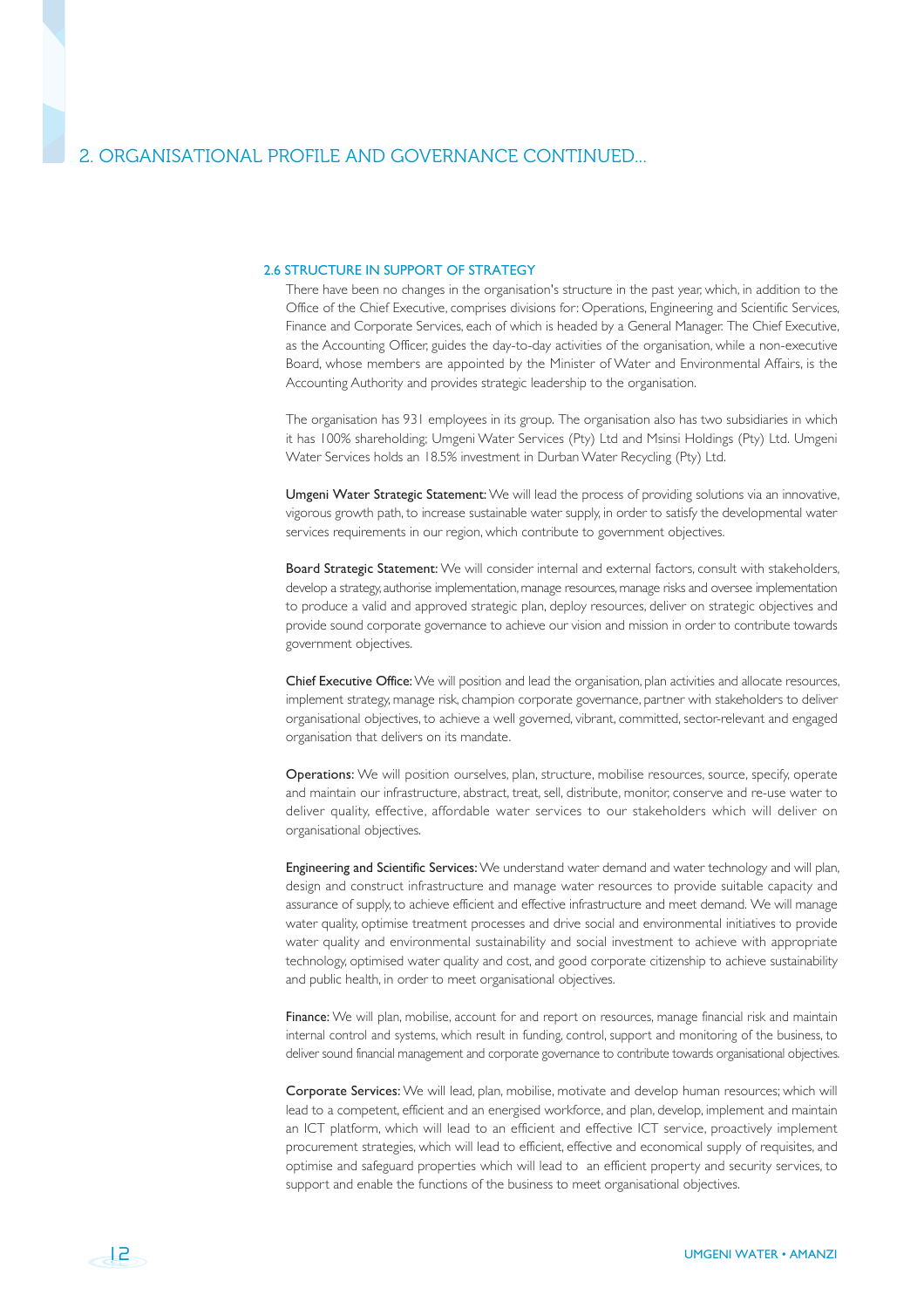$-12$ 

#### 2.6 STRUCTURE IN SUPPORT OF STRATEGY

There have been no changes in the organisation's structure in the past year, which, in addition to the Office of the Chief Executive, comprises divisions for: Operations, Engineering and Scientific Services, Finance and Corporate Services, each of which is headed by a General Manager. The Chief Executive, as the Accounting Officer, guides the day-to-day activities of the organisation, while a non-executive Board, whose members are appointed by the Minister of Water and Environmental Affairs, is the Accounting Authority and provides strategic leadership to the organisation.

The organisation has 931 employees in its group. The organisation also has two subsidiaries in which it has 100% shareholding; Umgeni Water Services (Pty) Ltd and Msinsi Holdings (Pty) Ltd. Umgeni Water Services holds an 18.5% investment in Durban Water Recycling (Pty) Ltd.

Umgeni Water Strategic Statement: We will lead the process of providing solutions via an innovative, vigorous growth path, to increase sustainable water supply, in order to satisfy the developmental water services requirements in our region, which contribute to government objectives.

Board Strategic Statement: We will consider internal and external factors, consult with stakeholders, develop a strategy, authorise implementation, manage resources, manage risks and oversee implementation to produce a valid and approved strategic plan, deploy resources, deliver on strategic objectives and provide sound corporate governance to achieve our vision and mission in order to contribute towards government objectives.

Chief Executive Office: We will position and lead the organisation, plan activities and allocate resources, implement strategy, manage risk, champion corporate governance, partner with stakeholders to deliver organisational objectives, to achieve a well governed, vibrant, committed, sector-relevant and engaged organisation that delivers on its mandate.

Operations: We will position ourselves, plan, structure, mobilise resources, source, specify, operate and maintain our infrastructure, abstract, treat, sell, distribute, monitor, conserve and re-use water to deliver quality, effective, affordable water services to our stakeholders which will deliver on organisational objectives.

Engineering and Scientific Services: We understand water demand and water technology and will plan, design and construct infrastructure and manage water resources to provide suitable capacity and assurance of supply, to achieve efficient and effective infrastructure and meet demand. We will manage water quality, optimise treatment processes and drive social and environmental initiatives to provide water quality and environmental sustainability and social investment to achieve with appropriate technology, optimised water quality and cost, and good corporate citizenship to achieve sustainability and public health, in order to meet organisational objectives.

Finance: We will plan, mobilise, account for and report on resources, manage financial risk and maintain internal control and systems, which result in funding, control, support and monitoring of the business, to deliver sound financial management and corporate governance to contribute towards organisational objectives.

Corporate Services: We will lead, plan, mobilise, motivate and develop human resources; which will lead to a competent, efficient and an energised workforce, and plan, develop, implement and maintain an ICT platform, which will lead to an efficient and effective ICT service, proactively implement procurement strategies, which will lead to efficient, effective and economical supply of requisites, and optimise and safeguard properties which will lead to an efficient property and security services, to support and enable the functions of the business to meet organisational objectives.